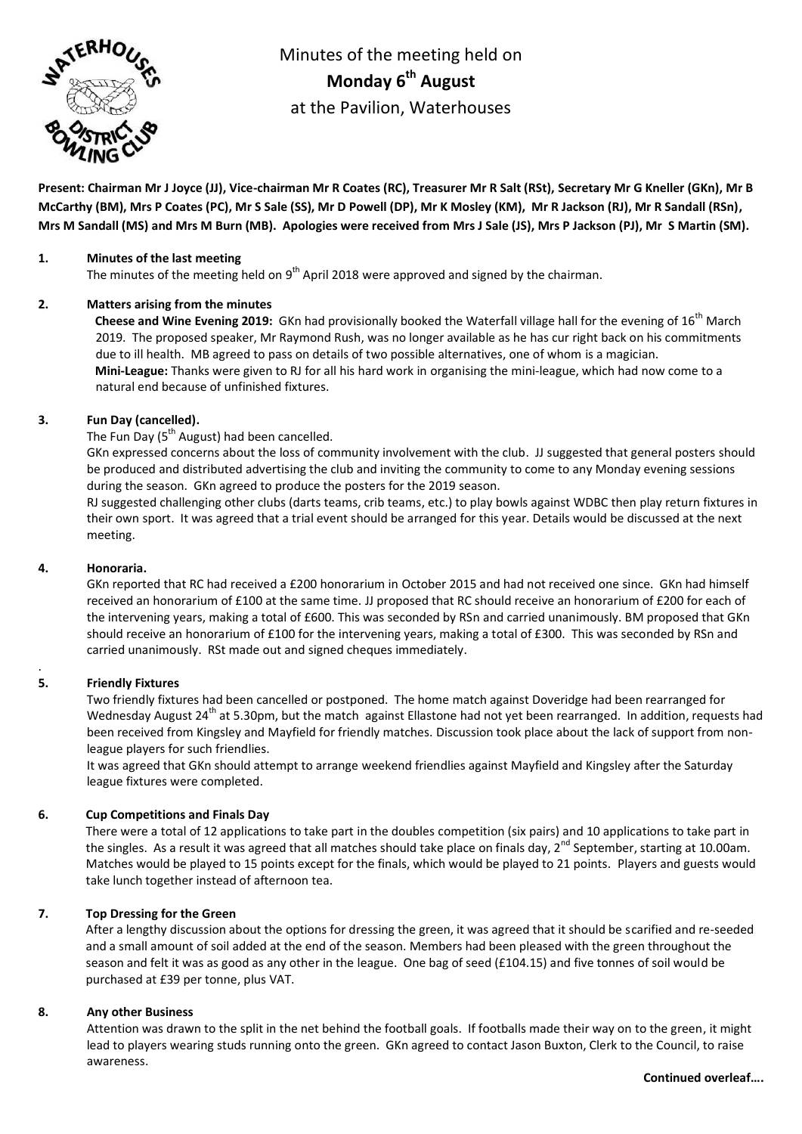

Minutes of the meeting held on **Monday 6 th August** at the Pavilion, Waterhouses

**Present: Chairman Mr J Joyce (JJ), Vice-chairman Mr R Coates (RC), Treasurer Mr R Salt (RSt), Secretary Mr G Kneller (GKn), Mr B McCarthy (BM), Mrs P Coates (PC), Mr S Sale (SS), Mr D Powell (DP), Mr K Mosley (KM), Mr R Jackson (RJ), Mr R Sandall (RSn), Mrs M Sandall (MS) and Mrs M Burn (MB). Apologies were received from Mrs J Sale (JS), Mrs P Jackson (PJ), Mr S Martin (SM).**

## **1. Minutes of the last meeting**

The minutes of the meeting held on  $9^{th}$  April 2018 were approved and signed by the chairman.

## **2. Matters arising from the minutes**

**Cheese and Wine Evening 2019:** GKn had provisionally booked the Waterfall village hall for the evening of 16th March 2019. The proposed speaker, Mr Raymond Rush, was no longer available as he has cur right back on his commitments due to ill health. MB agreed to pass on details of two possible alternatives, one of whom is a magician. **Mini-League:** Thanks were given to RJ for all his hard work in organising the mini-league, which had now come to a natural end because of unfinished fixtures.

## **3. Fun Day (cancelled).**

The Fun Day ( $5<sup>th</sup>$  August) had been cancelled.

GKn expressed concerns about the loss of community involvement with the club. JJ suggested that general posters should be produced and distributed advertising the club and inviting the community to come to any Monday evening sessions during the season. GKn agreed to produce the posters for the 2019 season.

RJ suggested challenging other clubs (darts teams, crib teams, etc.) to play bowls against WDBC then play return fixtures in their own sport. It was agreed that a trial event should be arranged for this year. Details would be discussed at the next meeting.

### **4. Honoraria.**

GKn reported that RC had received a £200 honorarium in October 2015 and had not received one since. GKn had himself received an honorarium of £100 at the same time. JJ proposed that RC should receive an honorarium of £200 for each of the intervening years, making a total of £600. This was seconded by RSn and carried unanimously. BM proposed that GKn should receive an honorarium of £100 for the intervening years, making a total of £300. This was seconded by RSn and carried unanimously. RSt made out and signed cheques immediately.

# **5. Friendly Fixtures**

.

Two friendly fixtures had been cancelled or postponed. The home match against Doveridge had been rearranged for Wednesday August 24<sup>th</sup> at 5.30pm, but the match against Ellastone had not yet been rearranged. In addition, requests had been received from Kingsley and Mayfield for friendly matches. Discussion took place about the lack of support from nonleague players for such friendlies.

It was agreed that GKn should attempt to arrange weekend friendlies against Mayfield and Kingsley after the Saturday league fixtures were completed.

# **6. Cup Competitions and Finals Day**

There were a total of 12 applications to take part in the doubles competition (six pairs) and 10 applications to take part in the singles. As a result it was agreed that all matches should take place on finals day, 2<sup>nd</sup> September, starting at 10.00am. Matches would be played to 15 points except for the finals, which would be played to 21 points. Players and guests would take lunch together instead of afternoon tea.

# **7. Top Dressing for the Green**

After a lengthy discussion about the options for dressing the green, it was agreed that it should be scarified and re-seeded and a small amount of soil added at the end of the season. Members had been pleased with the green throughout the season and felt it was as good as any other in the league. One bag of seed (£104.15) and five tonnes of soil would be purchased at £39 per tonne, plus VAT.

#### **8. Any other Business**

Attention was drawn to the split in the net behind the football goals. If footballs made their way on to the green, it might lead to players wearing studs running onto the green. GKn agreed to contact Jason Buxton, Clerk to the Council, to raise awareness.